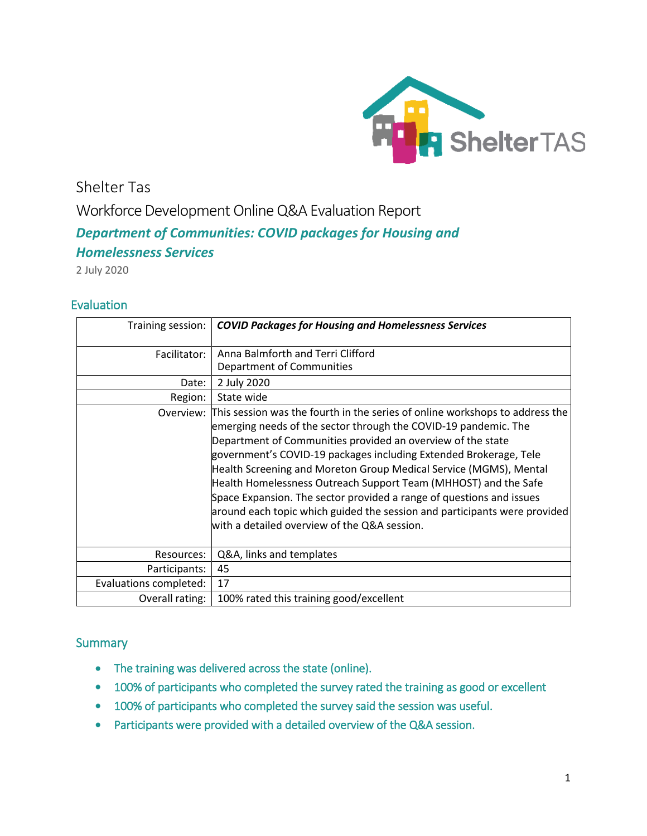

Shelter Tas Workforce Development Online Q&A Evaluation Report *Department of Communities: COVID packages for Housing and Homelessness Services*

2 July 2020

# **Evaluation**

| Training session:      | <b>COVID Packages for Housing and Homelessness Services</b>                                                                                                                                                                                                                                                                                                                                                                                                                                                                                                                                                                                |
|------------------------|--------------------------------------------------------------------------------------------------------------------------------------------------------------------------------------------------------------------------------------------------------------------------------------------------------------------------------------------------------------------------------------------------------------------------------------------------------------------------------------------------------------------------------------------------------------------------------------------------------------------------------------------|
| Facilitator:           | Anna Balmforth and Terri Clifford                                                                                                                                                                                                                                                                                                                                                                                                                                                                                                                                                                                                          |
|                        | Department of Communities                                                                                                                                                                                                                                                                                                                                                                                                                                                                                                                                                                                                                  |
| Date:                  | 2 July 2020                                                                                                                                                                                                                                                                                                                                                                                                                                                                                                                                                                                                                                |
| Region:                | State wide                                                                                                                                                                                                                                                                                                                                                                                                                                                                                                                                                                                                                                 |
|                        | Overview: This session was the fourth in the series of online workshops to address the<br>emerging needs of the sector through the COVID-19 pandemic. The<br>Department of Communities provided an overview of the state<br>government's COVID-19 packages including Extended Brokerage, Tele<br>Health Screening and Moreton Group Medical Service (MGMS), Mental<br>Health Homelessness Outreach Support Team (MHHOST) and the Safe<br>Space Expansion. The sector provided a range of questions and issues<br>around each topic which guided the session and participants were provided<br>with a detailed overview of the Q&A session. |
| Resources:             | Q&A, links and templates                                                                                                                                                                                                                                                                                                                                                                                                                                                                                                                                                                                                                   |
| Participants:          | 45                                                                                                                                                                                                                                                                                                                                                                                                                                                                                                                                                                                                                                         |
| Evaluations completed: | 17                                                                                                                                                                                                                                                                                                                                                                                                                                                                                                                                                                                                                                         |
| Overall rating:        | 100% rated this training good/excellent                                                                                                                                                                                                                                                                                                                                                                                                                                                                                                                                                                                                    |

# **Summary**

- The training was delivered across the state (online).
- 100% of participants who completed the survey rated the training as good or excellent
- 100% of participants who completed the survey said the session was useful.
- Participants were provided with a detailed overview of the Q&A session.